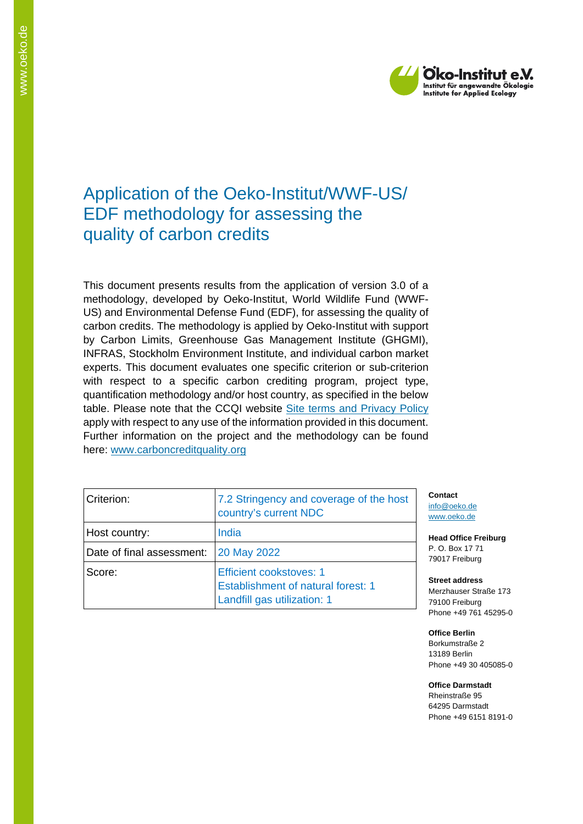

## Application of the Oeko-Institut/WWF-US/ EDF methodology for assessing the quality of carbon credits

This document presents results from the application of version 3.0 of a methodology, developed by Oeko-Institut, World Wildlife Fund (WWF-US) and Environmental Defense Fund (EDF), for assessing the quality of carbon credits. The methodology is applied by Oeko-Institut with support by Carbon Limits, Greenhouse Gas Management Institute (GHGMI), INFRAS, Stockholm Environment Institute, and individual carbon market experts. This document evaluates one specific criterion or sub-criterion with respect to a specific carbon crediting program, project type, quantification methodology and/or host country, as specified in the below table. Please note that the CCQI website [Site terms and Privacy Policy](https://carboncreditquality.org/terms.html) apply with respect to any use of the information provided in this document. Further information on the project and the methodology can be found here: [www.carboncreditquality.org](http://www.carboncreditquality.org/)

| Criterion:                | 7.2 Stringency and coverage of the host<br>country's current NDC                                           |
|---------------------------|------------------------------------------------------------------------------------------------------------|
| Host country:             | India                                                                                                      |
| Date of final assessment: | 20 May 2022                                                                                                |
| Score:                    | <b>Efficient cookstoves: 1</b><br><b>Establishment of natural forest: 1</b><br>Landfill gas utilization: 1 |

**Contact** [info@oeko.de](mailto:info@oeko.de) [www.oeko.de](http://www.oeko.de/)

**Head Office Freiburg** P. O. Box 17 71 79017 Freiburg

**Street address** Merzhauser Straße 173 79100 Freiburg Phone +49 761 45295-0

**Office Berlin** Borkumstraße 2 13189 Berlin Phone +49 30 405085-0

**Office Darmstadt** Rheinstraße 95 64295 Darmstadt Phone +49 6151 8191-0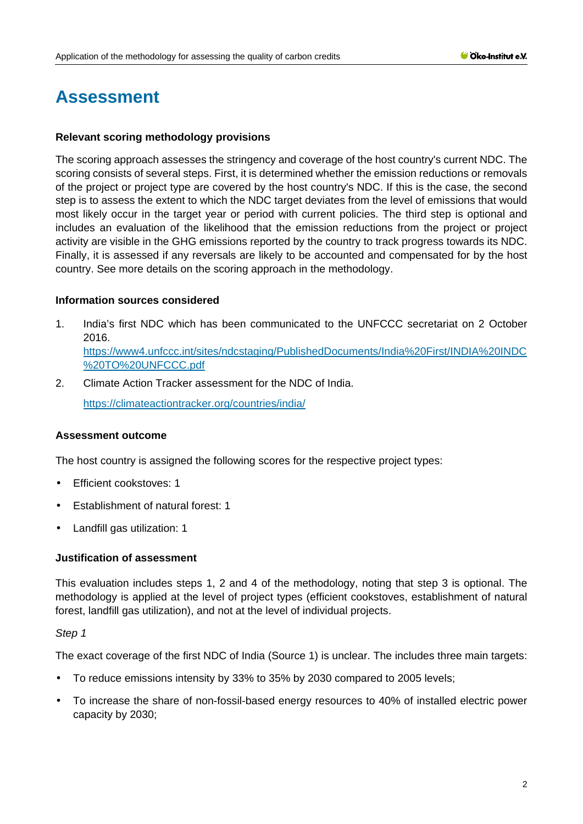# **Assessment**

#### **Relevant scoring methodology provisions**

The scoring approach assesses the stringency and coverage of the host country's current NDC. The scoring consists of several steps. First, it is determined whether the emission reductions or removals of the project or project type are covered by the host country's NDC. If this is the case, the second step is to assess the extent to which the NDC target deviates from the level of emissions that would most likely occur in the target year or period with current policies. The third step is optional and includes an evaluation of the likelihood that the emission reductions from the project or project activity are visible in the GHG emissions reported by the country to track progress towards its NDC. Finally, it is assessed if any reversals are likely to be accounted and compensated for by the host country. See more details on the scoring approach in the methodology.

#### **Information sources considered**

- 1. India's first NDC which has been communicated to the UNFCCC secretariat on 2 October 2016. [https://www4.unfccc.int/sites/ndcstaging/PublishedDocuments/India%20First/INDIA%20INDC](https://www4.unfccc.int/sites/ndcstaging/PublishedDocuments/India%20First/INDIA%20INDC%20TO%20UNFCCC.pdf) [%20TO%20UNFCCC.pdf](https://www4.unfccc.int/sites/ndcstaging/PublishedDocuments/India%20First/INDIA%20INDC%20TO%20UNFCCC.pdf)
- 2. Climate Action Tracker assessment for the NDC of India.

<https://climateactiontracker.org/countries/india/>

#### **Assessment outcome**

The host country is assigned the following scores for the respective project types:

- Efficient cookstoves: 1
- Establishment of natural forest: 1
- Landfill gas utilization: 1

#### **Justification of assessment**

This evaluation includes steps 1, 2 and 4 of the methodology, noting that step 3 is optional. The methodology is applied at the level of project types (efficient cookstoves, establishment of natural forest, landfill gas utilization), and not at the level of individual projects.

#### *Step 1*

The exact coverage of the first NDC of India (Source 1) is unclear. The includes three main targets:

- To reduce emissions intensity by 33% to 35% by 2030 compared to 2005 levels;
- To increase the share of non-fossil-based energy resources to 40% of installed electric power capacity by 2030;